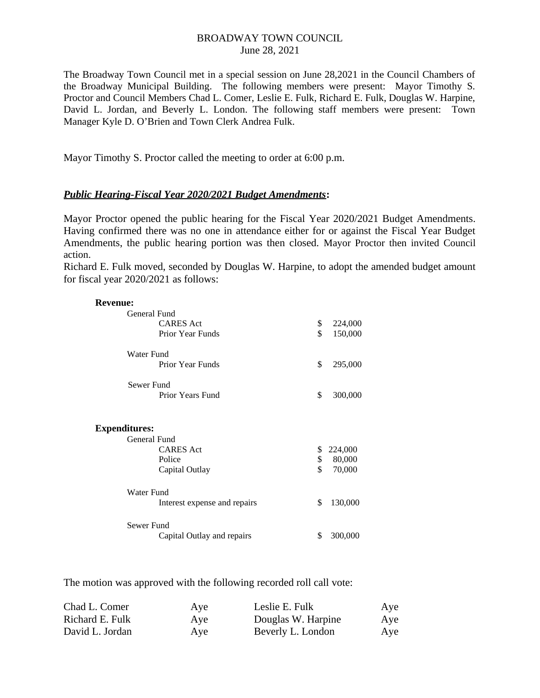## BROADWAY TOWN COUNCIL June 28, 2021

The Broadway Town Council met in a special session on June 28,2021 in the Council Chambers of the Broadway Municipal Building. The following members were present: Mayor Timothy S. Proctor and Council Members Chad L. Comer, Leslie E. Fulk, Richard E. Fulk, Douglas W. Harpine, David L. Jordan, and Beverly L. London. The following staff members were present: Town Manager Kyle D. O'Brien and Town Clerk Andrea Fulk.

Mayor Timothy S. Proctor called the meeting to order at 6:00 p.m.

## *Public Hearing-Fiscal Year 2020/2021 Budget Amendments***:**

Mayor Proctor opened the public hearing for the Fiscal Year 2020/2021 Budget Amendments. Having confirmed there was no one in attendance either for or against the Fiscal Year Budget Amendments, the public hearing portion was then closed. Mayor Proctor then invited Council action.

Richard E. Fulk moved, seconded by Douglas W. Harpine, to adopt the amended budget amount for fiscal year 2020/2021 as follows:

| <b>Revenue:</b>      |                              |               |
|----------------------|------------------------------|---------------|
| General Fund         |                              |               |
|                      | <b>CARES Act</b>             | \$<br>224,000 |
|                      | <b>Prior Year Funds</b>      | \$<br>150,000 |
| Water Fund           |                              |               |
|                      | <b>Prior Year Funds</b>      | \$<br>295,000 |
| Sewer Fund           |                              |               |
|                      | Prior Years Fund             | \$<br>300,000 |
| <b>Expenditures:</b> |                              |               |
| General Fund         |                              |               |
|                      | <b>CARES</b> Act             | \$<br>224,000 |
|                      | Police                       | \$<br>80,000  |
|                      | Capital Outlay               | \$<br>70,000  |
| Water Fund           |                              |               |
|                      | Interest expense and repairs | \$<br>130,000 |
| Sewer Fund           |                              |               |
|                      | Capital Outlay and repairs   | \$<br>300,000 |

The motion was approved with the following recorded roll call vote:

| Chad L. Comer   | Aye | Leslie E. Fulk     | Aye |
|-----------------|-----|--------------------|-----|
| Richard E. Fulk | Aye | Douglas W. Harpine | Aye |
| David L. Jordan | Aye | Beverly L. London  | Aye |